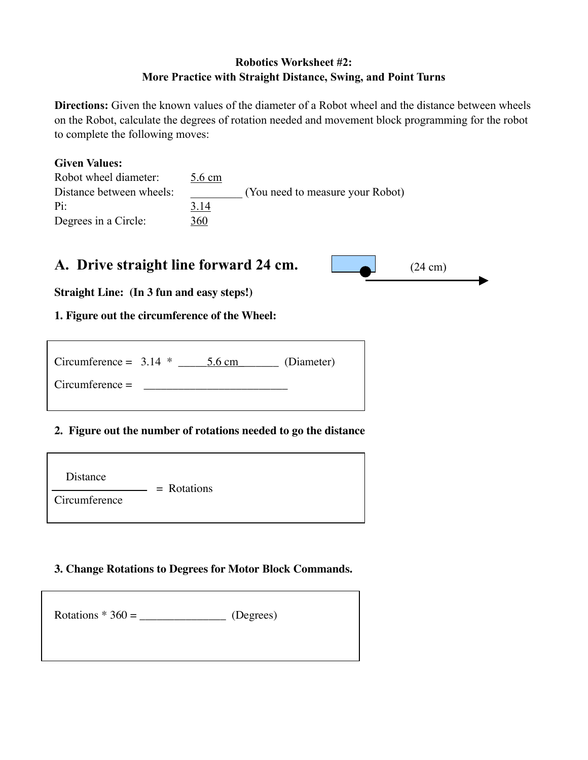## Robotics Worksheet #2: More Practice with Straight Distance, Swing, and Point Turns

Directions: Given the known values of the diameter of a Robot wheel and the distance between wheels on the Robot, calculate the degrees of rotation needed and movement block programming for the robot to complete the following moves:

#### Given Values:

| Robot wheel diameter:    | 5.6 cm |                                  |
|--------------------------|--------|----------------------------------|
| Distance between wheels: |        | (You need to measure your Robot) |
| Pi:                      | 3.14   |                                  |
| Degrees in a Circle:     | 360    |                                  |

# A. Drive straight line forward 24 cm.  $(24 \text{ cm})$  (24 cm)



**Straight Line: (In 3 fun and easy steps!)**

## **1. Figure out the circumference of the Wheel:**

| Circumference = $3.14$ * |  | $5.6 \text{ cm}$ | (Diameter) |
|--------------------------|--|------------------|------------|
| $Circumference =$        |  |                  |            |
|                          |  |                  |            |

## **2. Figure out the number of rotations needed to go the distance**

| Distance      | $=$ Rotations |  |
|---------------|---------------|--|
| Circumference |               |  |

#### **3. Change Rotations to Degrees for Motor Block Commands.**

| Rotations $*360 =$<br>(Degrees) |
|---------------------------------|
|---------------------------------|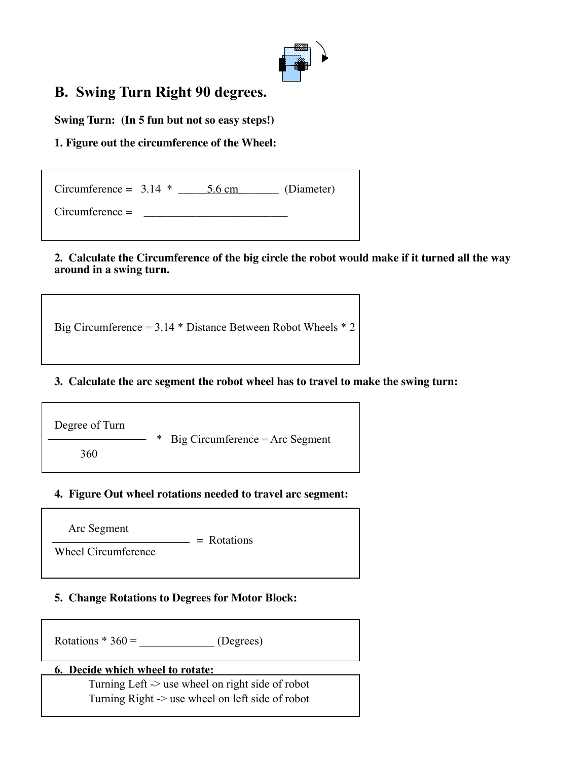

# B. Swing Turn Right 90 degrees.

**Swing Turn: (In 5 fun but not so easy steps!)**

## **1. Figure out the circumference of the Wheel:**

| Circumference = $3.14$ * | $5.6 \text{ cm}$ | (Diameter) |
|--------------------------|------------------|------------|
| $Circumference =$        |                  |            |

#### **2. Calculate the Circumference of the big circle the robot would make if it turned all the way around in a swing turn.**

Big Circumference = 3.14 \* Distance Between Robot Wheels \* 2

#### **3. Calculate the arc segment the robot wheel has to travel to make the swing turn:**

Degree of Turn  $Big$  Circumference = Arc Segment 360

#### **4. Figure Out wheel rotations needed to travel arc segment:**

Arc Segment

 $=$  Rotations

Wheel Circumference

#### **5. Change Rotations to Degrees for Motor Block:**

Rotations  $*360 =$  (Degrees)

#### 6. Decide which wheel to rotate:

Turning Left -> use wheel on right side of robot Turning Right -> use wheel on left side of robot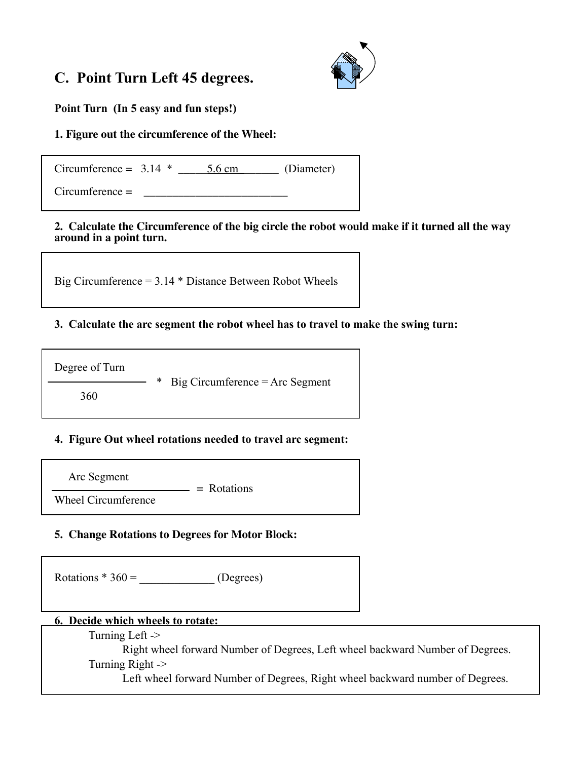# C. Point Turn Left 45 degrees.



Point Turn (In 5 easy and fun steps!)

## **1. Figure out the circumference of the Wheel:**

 $Circumference = 3.14 *  $\underline{\hspace{1cm}} 5.6 \text{ cm}$  (Diameter)$ 

 $Circumference =$ 

**2. Calculate the Circumference of the big circle the robot would make if it turned all the way around in a point turn.**

Big Circumference = 3.14 \* Distance Between Robot Wheels

## 3. Calculate the arc segment the robot wheel has to travel to make the swing turn:

Degree of Turn

\* Big Circumference = Arc Segment

360

## 4. Figure Out wheel rotations needed to travel arc segment:

Arc Segment

 $=$  Rotations Wheel Circumference

## **5. Change Rotations to Degrees for Motor Block:**

Rotations  $*360 =$  (Degrees)

#### 6. Decide which wheels to rotate:

Turning Left ->

Right wheel forward Number of Degrees, Left wheel backward Number of Degrees. Turning Right ->

Left wheel forward Number of Degrees, Right wheel backward number of Degrees.